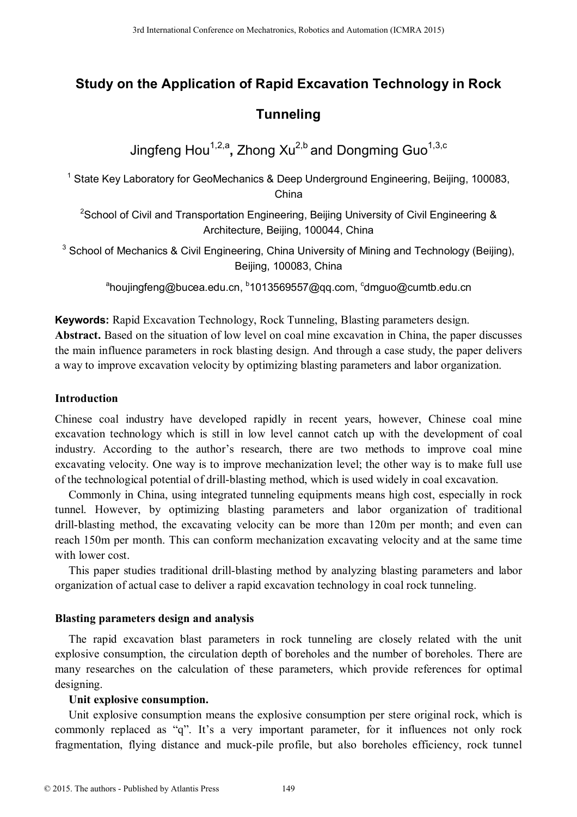# **Study on the Application of Rapid Excavation Technology in Rock**

# **Tunneling**

Jingfeng Hou<sup>1,2,a</sup>, Zhong Xu<sup>2,b</sup> and Dongming Guo<sup>1,3,c</sup>

<sup>1</sup> State Key Laboratory for GeoMechanics & Deep Underground Engineering, Beijing, 100083, China

<sup>2</sup>School of Civil and Transportation Engineering, Beijing University of Civil Engineering & Architecture, Beijing, 100044, China

 $3$  School of Mechanics & Civil Engineering, China University of Mining and Technology (Beijing), Beijing, 100083, China

<sup>a</sup>houjingfeng@bucea.edu.cn, <sup>b</sup>1013569557@qq.com, <sup>c</sup>dmguo@cumtb.edu.cn

**Keywords:** Rapid Excavation Technology, Rock Tunneling, Blasting parameters design. **Abstract.** Based on the situation of low level on coal mine excavation in China, the paper discusses the main influence parameters in rock blasting design. And through a case study, the paper delivers a way to improve excavation velocity by optimizing blasting parameters and labor organization.

# **Introduction**

Chinese coal industry have developed rapidly in recent years, however, Chinese coal mine excavation technology which is still in low level cannot catch up with the development of coal industry. According to the author's research, there are two methods to improve coal mine excavating velocity. One way is to improve mechanization level; the other way is to make full use of the technological potential of drill-blasting method, which is used widely in coal excavation. 3rd International Conference Mechanics, Robotics and Automatic/Collegers<br>
3rd International Conference of Conference on Mechanics Automatics and Dongming Guo<sup>13,6</sup><br>
<sup>3</sup> State Key Laboratory for GeoMechanics & China<br>
<sup>261</sup>

Commonly in China, using integrated tunneling equipments means high cost, especially in rock tunnel. However, by optimizing blasting parameters and labor organization of traditional drill-blasting method, the excavating velocity can be more than 120m per month; and even can reach 150m per month. This can conform mechanization excavating velocity and at the same time with lower cost.

This paper studies traditional drill-blasting method by analyzing blasting parameters and labor organization of actual case to deliver a rapid excavation technology in coal rock tunneling.

# **Blasting parameters design and analysis**

The rapid excavation blast parameters in rock tunneling are closely related with the unit explosive consumption, the circulation depth of boreholes and the number of boreholes. There are many researches on the calculation of these parameters, which provide references for optimal designing.

# **Unit explosive consumption.**

Unit explosive consumption means the explosive consumption per stere original rock, which is commonly replaced as "q". It's a very important parameter, for it influences not only rock fragmentation, flying distance and muck-pile profile, but also boreholes efficiency, rock tunnel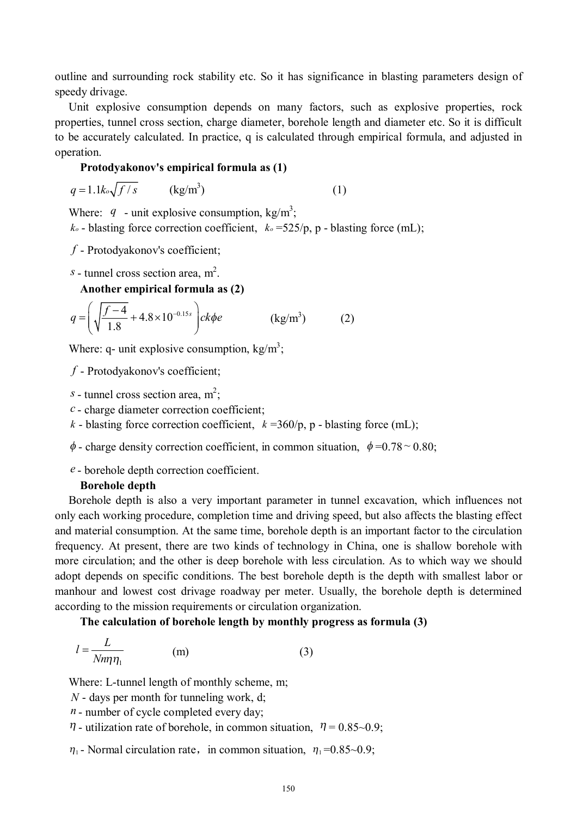outline and surrounding rock stability etc. So it has significance in blasting parameters design of speedy drivage.

Unit explosive consumption depends on many factors, such as explosive properties, rock properties, tunnel cross section, charge diameter, borehole length and diameter etc. So it is difficult to be accurately calculated. In practice, q is calculated through empirical formula, and adjusted in operation.

#### **Protodyakonov's empirical formula as (1)**

$$
q = 1.1k_o\sqrt{f/s} \qquad \text{(kg/m}^3)
$$
 (1)

Where:  $q$  - unit explosive consumption, kg/m<sup>3</sup>;

 $k<sub>o</sub>$  - blasting force correction coefficient,  $k<sub>o</sub> = 525/p$ , p - blasting force (mL);

*f* - Protodyakonov's coefficient;

*s* - tunnel cross section area,  $m^2$ .

**Another empirical formula as (2)** 

$$
q = \left(\sqrt{\frac{f-4}{1.8}} + 4.8 \times 10^{-0.15s}\right) c k \phi e
$$
 (kg/m<sup>3</sup>) (2)

Where: q- unit explosive consumption,  $\text{kg/m}^3$ ;

*f* - Protodyakonov's coefficient;

*s* - tunnel cross section area,  $m^2$ ;

*c* - charge diameter correction coefficient;

- *k* blasting force correction coefficient,  $k = 360/p$ , p blasting force (mL);
- $\phi$  charge density correction coefficient, in common situation,  $\phi = 0.78 \degree 0.80$ ;
- *e* borehole depth correction coefficient.

#### **Borehole depth**

Borehole depth is also a very important parameter in tunnel excavation, which influences not only each working procedure, completion time and driving speed, but also affects the blasting effect and material consumption. At the same time, borehole depth is an important factor to the circulation frequency. At present, there are two kinds of technology in China, one is shallow borehole with more circulation; and the other is deep borehole with less circulation. As to which way we should adopt depends on specific conditions. The best borehole depth is the depth with smallest labor or manhour and lowest cost drivage roadway per meter. Usually, the borehole depth is determined according to the mission requirements or circulation organization.

**The calculation of borehole length by monthly progress as formula (3)** 

$$
l = \frac{L}{Nm\eta_1} \tag{3}
$$

Where: L-tunnel length of monthly scheme, m;

- *N* days per month for tunneling work, d;
- *n* number of cycle completed every day;
- $\eta$  utilization rate of borehole, in common situation,  $\eta = 0.85 \sim 0.9$ ;

 $\eta_1$ - Normal circulation rate, in common situation,  $\eta_1 = 0.85 \sim 0.9$ ;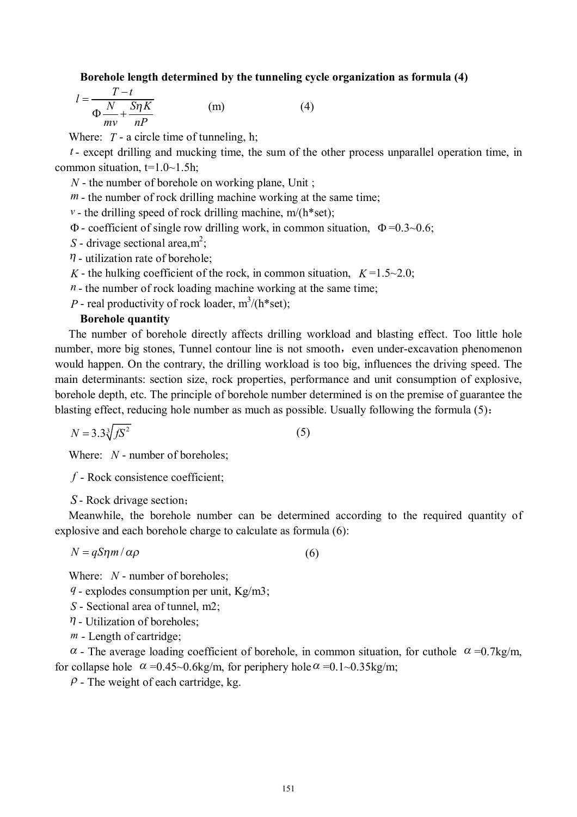**Borehole length determined by the tunneling cycle organization as formula (4)** 

$$
l = \frac{T - t}{\Phi \frac{N}{mv} + \frac{S\eta K}{nP}}
$$
 (m) (4)

Where: *T* - a circle time of tunneling, h;

*t* - except drilling and mucking time, the sum of the other process unparallel operation time, in common situation,  $t=1.0-1.5$ h;

*N* - the number of borehole on working plane, Unit ;

 $m$  - the number of rock drilling machine working at the same time;

 $v$  - the drilling speed of rock drilling machine, m/(h\*set);

 $\Phi$  - coefficient of single row drilling work, in common situation,  $\Phi = 0.3~0.6$ ;

*S* - drivage sectional area,  $m^2$ ;

 $\eta$  - utilization rate of borehole;

*K* - the hulking coefficient of the rock, in common situation,  $K=1.5\sim2.0$ ;

 $n -$  the number of rock loading machine working at the same time;

*P* - real productivity of rock loader,  $m^3/(h^*set)$ ;

#### **Borehole quantity**

The number of borehole directly affects drilling workload and blasting effect. Too little hole number, more big stones, Tunnel contour line is not smooth, even under-excavation phenomenon would happen. On the contrary, the drilling workload is too big, influences the driving speed. The main determinants: section size, rock properties, performance and unit consumption of explosive, borehole depth, etc. The principle of borehole number determined is on the premise of guarantee the blasting effect, reducing hole number as much as possible. Usually following the formula (5):

$$
N = 3.3\sqrt[3]{fS^2} \tag{5}
$$

Where: *N* - number of boreholes;

*f* - Rock consistence coefficient;

*S* - Rock drivage section;

Meanwhile, the borehole number can be determined according to the required quantity of explosive and each borehole charge to calculate as formula (6):

$$
N = q \sin \alpha \rho \tag{6}
$$

Where: *N* - number of boreholes;

*q* - explodes consumption per unit, Kg/m3;

- *S* Sectional area of tunnel, m2;
- $\eta$  Utilization of boreholes:
- *m* Length of cartridge;

 $\alpha$  - The average loading coefficient of borehole, in common situation, for cuthole  $\alpha = 0.7 \text{kg/m}$ , for collapse hole  $\alpha = 0.45 \sim 0.6 \text{kg/m}$ , for periphery hole  $\alpha = 0.1 \sim 0.35 \text{kg/m}$ ;

 *- The weight of each cartridge, kg.*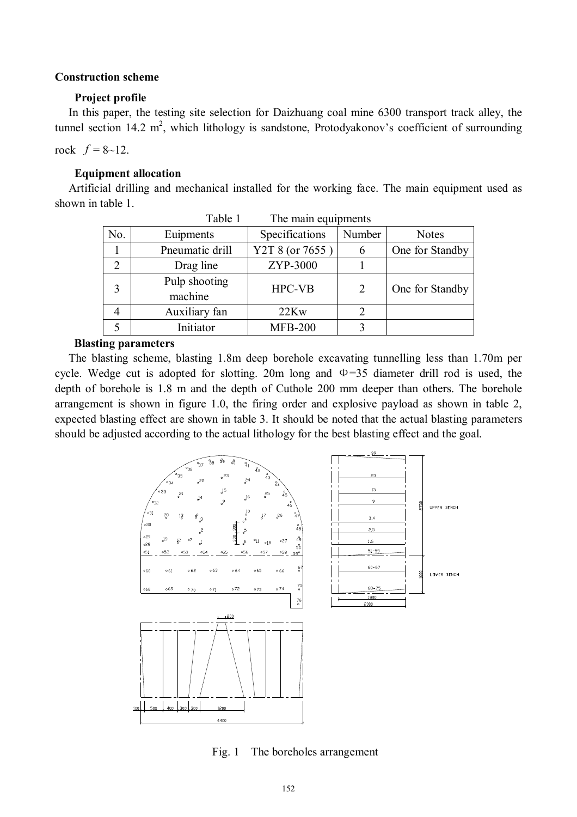#### **Construction scheme**

#### **Project profile**

In this paper, the testing site selection for Daizhuang coal mine 6300 transport track alley, the tunnel section 14.2  $m^2$ , which lithology is sandstone, Protodyakonov's coefficient of surrounding

rock  $f = 8 - 12$ .

#### **Equipment allocation**

Artificial drilling and mechanical installed for the working face. The main equipment used as shown in table 1.

| Table 1<br>The main equipments |                          |                 |                               |                 |  |  |  |
|--------------------------------|--------------------------|-----------------|-------------------------------|-----------------|--|--|--|
| No.                            | Euipments                | Specifications  | Number                        | <b>Notes</b>    |  |  |  |
|                                | Pneumatic drill          | Y2T 8 (or 7655) | 6                             | One for Standby |  |  |  |
| $\overline{2}$                 | Drag line                | ZYP-3000        |                               |                 |  |  |  |
| 3                              | Pulp shooting<br>machine | <b>HPC-VB</b>   | $\overline{2}$                | One for Standby |  |  |  |
|                                | Auxiliary fan            | 22Kw            | $\mathfrak{D}_{\mathfrak{p}}$ |                 |  |  |  |
|                                | Initiator                | <b>MFB-200</b>  | 3                             |                 |  |  |  |

#### **Blasting parameters**

The blasting scheme, blasting 1.8m deep borehole excavating tunnelling less than 1.70m per cycle. Wedge cut is adopted for slotting. 20m long and  $\Phi$ =35 diameter drill rod is used, the depth of borehole is 1.8 m and the depth of Cuthole 200 mm deeper than others. The borehole arrangement is shown in figure 1.0, the firing order and explosive payload as shown in table 2, expected blasting effect are shown in table 3. It should be noted that the actual blasting parameters should be adjusted according to the actual lithology for the best blasting effect and the goal.



Fig. 1 The boreholes arrangement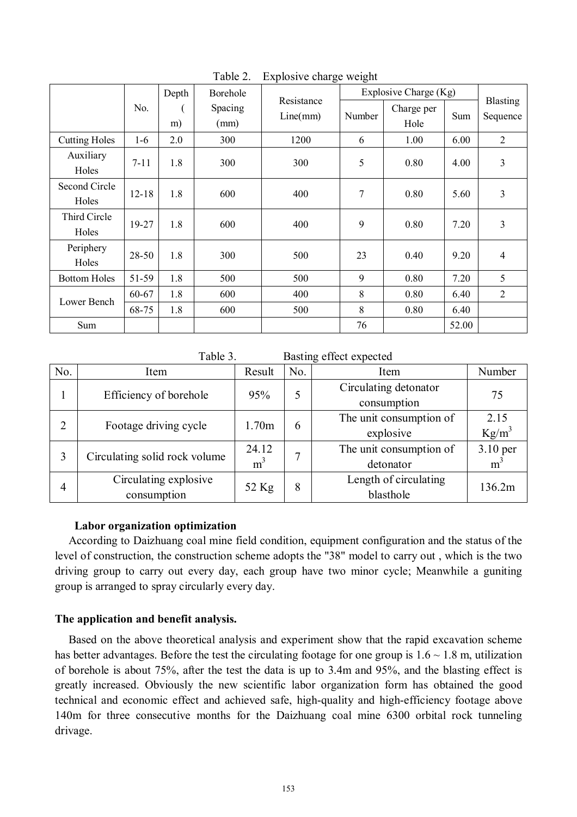|                        |           | Depth | Borehole        | Resistance<br>Line(mm) | Explosive Charge (Kg) |                    |       |                             |
|------------------------|-----------|-------|-----------------|------------------------|-----------------------|--------------------|-------|-----------------------------|
|                        | No.       | m)    | Spacing<br>(mm) |                        | Number                | Charge per<br>Hole | Sum   | <b>Blasting</b><br>Sequence |
| <b>Cutting Holes</b>   | $1-6$     | 2.0   | 300             | 1200                   | 6                     | 1.00               | 6.00  | $\overline{2}$              |
| Auxiliary<br>Holes     | $7 - 11$  | 1.8   | 300             | 300                    | 5                     | 0.80               | 4.00  | 3                           |
| Second Circle<br>Holes | $12 - 18$ | 1.8   | 600             | 400                    | 7                     | 0.80               | 5.60  | 3                           |
| Third Circle<br>Holes  | 19-27     | 1.8   | 600             | 400                    | 9                     | 0.80               | 7.20  | 3                           |
| Periphery<br>Holes     | 28-50     | 1.8   | 300             | 500                    | 23                    | 0.40               | 9.20  | $\overline{4}$              |
| <b>Bottom Holes</b>    | 51-59     | 1.8   | 500             | 500                    | 9                     | 0.80               | 7.20  | 5                           |
| Lower Bench            | 60-67     | 1.8   | 600             | 400                    | 8                     | 0.80               | 6.40  | $\overline{2}$              |
|                        | 68-75     | 1.8   | 600             | 500                    | 8                     | 0.80               | 6.40  |                             |
| Sum                    |           |       |                 |                        | 76                    |                    | 52.00 |                             |

Table 2. Explosive charge weight

Table 3. Basting effect expected

| No. | Item                                 | Result                  | No. | Item                                 | Number            |
|-----|--------------------------------------|-------------------------|-----|--------------------------------------|-------------------|
|     | Efficiency of borehole               | 95%                     | 5   | Circulating detonator<br>consumption | 75                |
| 2   | Footage driving cycle                | 1.70m                   | 6   | The unit consumption of<br>explosive | 2.15<br>$Kg/m^3$  |
| 3   | Circulating solid rock volume        | 24.12<br>m <sup>3</sup> |     | The unit consumption of<br>detonator | 3.10 per<br>$m^3$ |
| 4   | Circulating explosive<br>consumption | 52 Kg                   | 8   | Length of circulating<br>blasthole   | 136.2m            |

#### **Labor organization optimization**

According to Daizhuang coal mine field condition, equipment configuration and the status of the level of construction, the construction scheme adopts the "38" model to carry out , which is the two driving group to carry out every day, each group have two minor cycle; Meanwhile a guniting group is arranged to spray circularly every day.

# **The application and benefit analysis.**

Based on the above theoretical analysis and experiment show that the rapid excavation scheme has better advantages. Before the test the circulating footage for one group is  $1.6 \sim 1.8$  m, utilization of borehole is about 75%, after the test the data is up to 3.4m and 95%, and the blasting effect is greatly increased. Obviously the new scientific labor organization form has obtained the good technical and economic effect and achieved safe, high-quality and high-efficiency footage above 140m for three consecutive months for the Daizhuang coal mine 6300 orbital rock tunneling drivage.